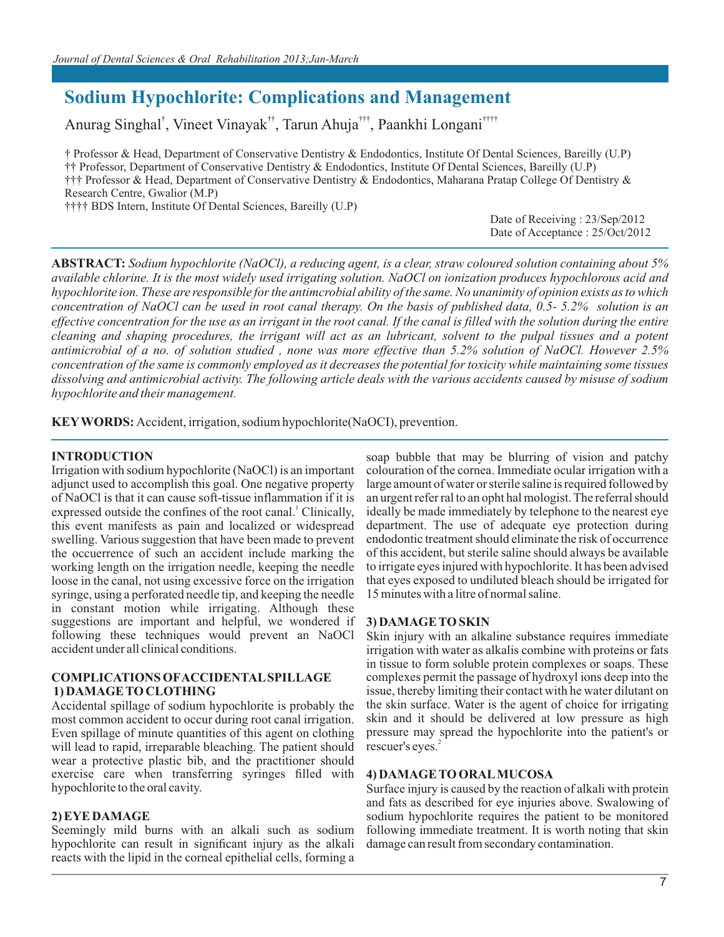# **Sodium Hypochlorite: Complications and Management**

Anurag Singhal<sup>†</sup>, Vineet Vinayak<sup>††</sup>, Tarun Ahuja<sup>†††</sup>, Paankhi Longani<sup>††††</sup>

† Professor & Head, Department of Conservative Dentistry & Endodontics, Institute Of Dental Sciences, Bareilly (U.P) †† Professor, Department of Conservative Dentistry & Endodontics, Institute Of Dental Sciences, Bareilly (U.P) ††† Professor & Head, Department of Conservative Dentistry & Endodontics, Maharana Pratap College Of Dentistry & Research Centre, Gwalior (M.P)

†††† BDS Intern, Institute Of Dental Sciences, Bareilly (U.P)

Date of Receiving : 23/Sep/2012 Date of Acceptance : 25/Oct/2012

**ABSTRACT:** *Sodium hypochlorite (NaOCl), a reducing agent, is a clear, straw coloured solution containing about 5% available chlorine. It is the most widely used irrigating solution. NaOCl on ionization produces hypochlorous acid and hypochlorite ion. These are responsible for the antimcrobial ability of the same. No unanimity of opinion exists as to which concentration of NaOCl can be used in root canal therapy. On the basis of published data, 0.5- 5.2% solution is an effective concentration for the use as an irrigant in the root canal. If the canal is filled with the solution during the entire cleaning and shaping procedures, the irrigant will act as an lubricant, solvent to the pulpal tissues and a potent antimicrobial of a no. of solution studied , none was more effective than 5.2% solution of NaOCl. However 2.5% concentration of the same is commonly employed as it decreases the potential for toxicity while maintaining some tissues dissolving and antimicrobial activity. The following article deals with the various accidents caused by misuse of sodium hypochlorite and their management.*

**KEY WORDS:** Accident, irrigation, sodium hypochlorite(NaOCI), prevention.

#### **INTRODUCTION**

Irrigation with sodium hypochlorite (NaOCl) is an important adjunct used to accomplish this goal. One negative property of NaOCl is that it can cause soft-tissue inflammation if it is expressed outside the confines of the root canal.<sup>1</sup> Clinically, this event manifests as pain and localized or widespread swelling. Various suggestion that have been made to prevent the occuerrence of such an accident include marking the working length on the irrigation needle, keeping the needle loose in the canal, not using excessive force on the irrigation syringe, using a perforated needle tip, and keeping the needle in constant motion while irrigating. Although these suggestions are important and helpful, we wondered if following these techniques would prevent an NaOCl accident under all clinical conditions.

#### **COMPLICATIONS OF ACCIDENTAL SPILLAGE 1) DAMAGE TO CLOTHING**

Accidental spillage of sodium hypochlorite is probably the most common accident to occur during root canal irrigation. Even spillage of minute quantities of this agent on clothing will lead to rapid, irreparable bleaching. The patient should wear a protective plastic bib, and the practitioner should exercise care when transferring syringes filled with hypochlorite to the oral cavity.

#### **2) EYE DAMAGE**

Seemingly mild burns with an alkali such as sodium hypochlorite can result in significant injury as the alkali reacts with the lipid in the corneal epithelial cells, forming a soap bubble that may be blurring of vision and patchy colouration of the cornea. Immediate ocular irrigation with a large amount of water or sterile saline is required followed by an urgent refer ral to an opht hal mologist. The referral should ideally be made immediately by telephone to the nearest eye department. The use of adequate eye protection during endodontic treatment should eliminate the risk of occurrence of this accident, but sterile saline should always be available to irrigate eyes injured with hypochlorite. It has been advised that eyes exposed to undiluted bleach should be irrigated for 15 minutes with a litre of normal saline.

#### **3) DAMAGE TO SKIN**

Skin injury with an alkaline substance requires immediate irrigation with water as alkalis combine with proteins or fats in tissue to form soluble protein complexes or soaps. These complexes permit the passage of hydroxyl ions deep into the issue, thereby limiting their contact with he water dilutant on the skin surface. Water is the agent of choice for irrigating skin and it should be delivered at low pressure as high pressure may spread the hypochlorite into the patient's or rescuer's eyes.<sup>2</sup>

#### **4) DAMAGE TO ORAL MUCOSA**

Surface injury is caused by the reaction of alkali with protein and fats as described for eye injuries above. Swalowing of sodium hypochlorite requires the patient to be monitored following immediate treatment. It is worth noting that skin damage can result from secondary contamination.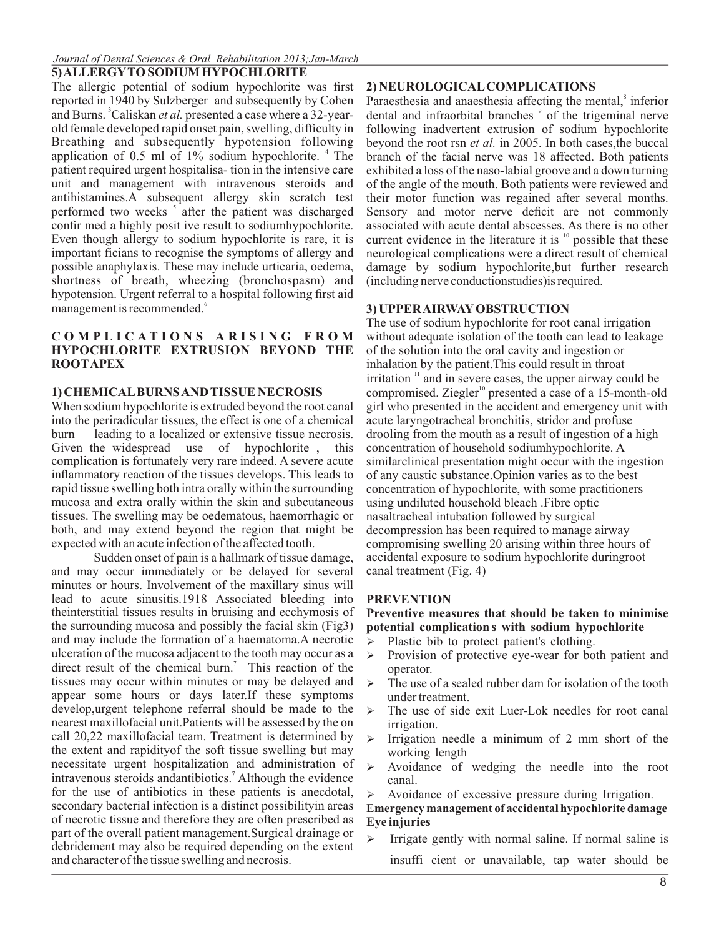#### *Journal of Dental Sciences & Oral Rehabilitation 2013;Jan-March*

**5) ALLERGY TO SODIUM HYPOCHLORITE**

The allergic potential of sodium hypochlorite was first reported in 1940 by Sulzberger and subsequently by Cohen and Burns. <sup>3</sup>Caliskan *et al*. presented a case where a 32-yearold female developed rapid onset pain, swelling, difficulty in Breathing and subsequently hypotension following application of 0.5 ml of 1% sodium hypochlorite. <sup>4</sup> The patient required urgent hospitalisa- tion in the intensive care unit and management with intravenous steroids and antihistamines.A subsequent allergy skin scratch test performed two weeks <sup>5</sup> after the patient was discharged confir med a highly posit ive result to sodiumhypochlorite. Even though allergy to sodium hypochlorite is rare, it is important ficians to recognise the symptoms of allergy and possible anaphylaxis. These may include urticaria, oedema, shortness of breath, wheezing (bronchospasm) and hypotension. Urgent referral to a hospital following first aid management is recommended.<sup>6</sup>

#### **C O M P L I C A T I O N S A R I S I N G F R O M HYPOCHLORITE EXTRUSION BEYOND THE ROOT APEX**

### **1) CHEMICAL BURNS AND TISSUE NECROSIS**

When sodium hypochlorite is extruded beyond the root canal into the periradicular tissues, the effect is one of a chemical burn leading to a localized or extensive tissue necrosis. Given the widespread use of hypochlorite , this complication is fortunately very rare indeed. A severe acute inflammatory reaction of the tissues develops. This leads to rapid tissue swelling both intra orally within the surrounding mucosa and extra orally within the skin and subcutaneous tissues. The swelling may be oedematous, haemorrhagic or both, and may extend beyond the region that might be expected with an acute infection of the affected tooth.

Sudden onset of pain is a hallmark of tissue damage, and may occur immediately or be delayed for several minutes or hours. Involvement of the maxillary sinus will lead to acute sinusitis.1918 Associated bleeding into theinterstitial tissues results in bruising and ecchymosis of the surrounding mucosa and possibly the facial skin (Fig3) and may include the formation of a haematoma.A necrotic ulceration of the mucosa adjacent to the tooth may occur as a direct result of the chemical burn.<sup>7</sup> This reaction of the tissues may occur within minutes or may be delayed and appear some hours or days later.If these symptoms develop,urgent telephone referral should be made to the nearest maxillofacial unit.Patients will be assessed by the on call 20,22 maxillofacial team. Treatment is determined by the extent and rapidityof the soft tissue swelling but may necessitate urgent hospitalization and administration of intravenous steroids andantibiotics.<sup>7</sup> Although the evidence for the use of antibiotics in these patients is anecdotal, secondary bacterial infection is a distinct possibilityin areas of necrotic tissue and therefore they are often prescribed as part of the overall patient management.Surgical drainage or debridement may also be required depending on the extent and character of the tissue swelling and necrosis.

#### **2) NEUROLOGICAL COMPLICATIONS**

Paraesthesia and anaesthesia affecting the mental,<sup>8</sup> inferior dental and infraorbital branches  $\degree$  of the trigeminal nerve following inadvertent extrusion of sodium hypochlorite beyond the root rsn *et al.* in 2005. In both cases,the buccal branch of the facial nerve was 18 affected. Both patients exhibited a loss of the naso-labial groove and a down turning of the angle of the mouth. Both patients were reviewed and their motor function was regained after several months. Sensory and motor nerve deficit are not commonly associated with acute dental abscesses. As there is no other current evidence in the literature it is  $\frac{10}{10}$  possible that these neurological complications were a direct result of chemical damage by sodium hypochlorite,but further research (including nerve conductionstudies)is required.

# **3) UPPER AIRWAY OBSTRUCTION**

The use of sodium hypochlorite for root canal irrigation without adequate isolation of the tooth can lead to leakage of the solution into the oral cavity and ingestion or inhalation by the patient.This could result in throat  $11$  irritation  $11$  and in severe cases, the upper airway could be compromised. Ziegler<sup>10</sup> presented a case of a 15-month-old girl who presented in the accident and emergency unit with acute laryngotracheal bronchitis, stridor and profuse drooling from the mouth as a result of ingestion of a high concentration of household sodiumhypochlorite. A similarclinical presentation might occur with the ingestion of any caustic substance.Opinion varies as to the best concentration of hypochlorite, with some practitioners using undiluted household bleach .Fibre optic nasaltracheal intubation followed by surgical decompression has been required to manage airway compromising swelling 20 arising within three hours of accidental exposure to sodium hypochlorite duringroot canal treatment (Fig. 4)

### **PREVENTION**

#### **Preventive measures that should be taken to minimise potential complication s with sodium hypochlorite**

- Ø Plastic bib to protect patient's clothing.
- $\triangleright$  Provision of protective eye-wear for both patient and operator.
- $\triangleright$  The use of a sealed rubber dam for isolation of the tooth under treatment.
- The use of side exit Luer-Lok needles for root canal irrigation.
- Ø Irrigation needle a minimum of 2 mm short of the working length
- Ø Avoidance of wedging the needle into the root canal.
- Avoidance of excessive pressure during Irrigation.

### **Emergency management of accidental hypochlorite damage Eye injuries**

 $\triangleright$  Irrigate gently with normal saline. If normal saline is insuffi cient or unavailable, tap water should be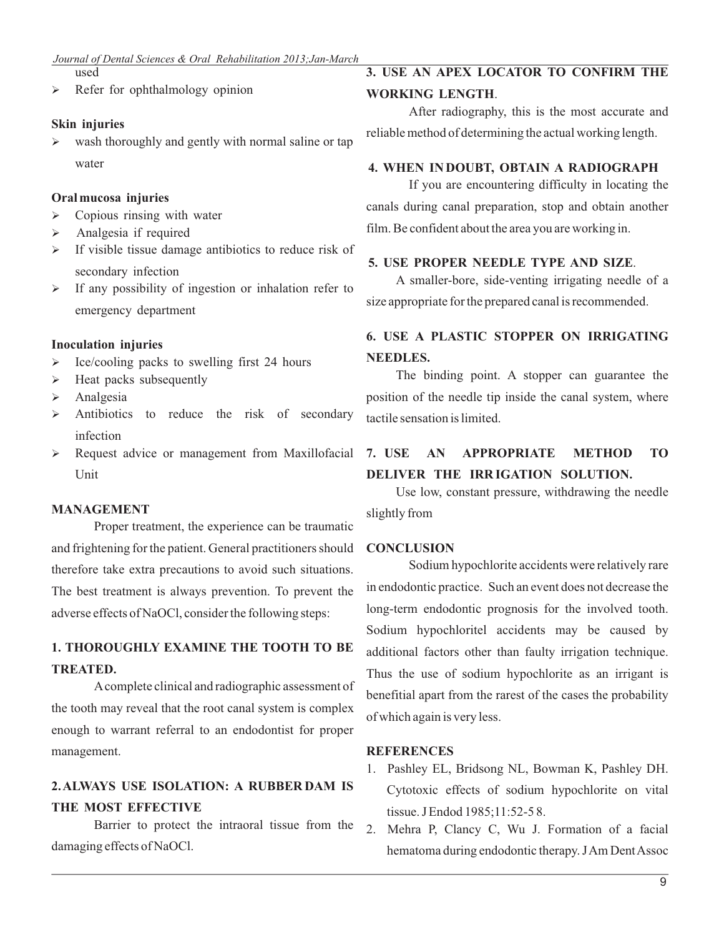used

 $\triangleright$  Refer for ophthalmology opinion

# **Skin injuries**

Ø wash thoroughly and gently with normal saline or tap water

## **Oral mucosa injuries**

- $\triangleright$  Copious rinsing with water
- $\triangleright$  Analgesia if required
- $\triangleright$  If visible tissue damage antibiotics to reduce risk of secondary infection
- $\triangleright$  If any possibility of ingestion or inhalation refer to emergency department

# **Inoculation injuries**

- $\triangleright$  Ice/cooling packs to swelling first 24 hours
- $\triangleright$  Heat packs subsequently
- $\triangleright$  Analgesia
- $\triangleright$  Antibiotics to reduce the risk of secondary infection
- $\triangleright$  Request advice or management from Maxillofacial Unit

### **MANAGEMENT**

Proper treatment, the experience can be traumatic and frightening for the patient. General practitioners should therefore take extra precautions to avoid such situations. The best treatment is always prevention. To prevent the adverse effects of NaOCl, consider the following steps:

# **1. THOROUGHLY EXAMINE THE TOOTH TO BE TREATED.**

A complete clinical and radiographic assessment of the tooth may reveal that the root canal system is complex enough to warrant referral to an endodontist for proper management.

# **2. ALWAYS USE ISOLATION: A RUBBER DAM IS THE MOST EFFECTIVE**

Barrier to protect the intraoral tissue from the damaging effects of NaOCl.

# **3. USE AN APEX LOCATOR TO CONFIRM THE**

**WORKING LENGTH**.

After radiography, this is the most accurate and reliable method of determining the actual working length.

## **4. WHEN IN DOUBT, OBTAIN A RADIOGRAPH**

If you are encountering difficulty in locating the canals during canal preparation, stop and obtain another film. Be confident about the area you are working in.

# **5. USE PROPER NEEDLE TYPE AND SIZE**.

A smaller-bore, side-venting irrigating needle of a size appropriate for the prepared canal is recommended.

# **6. USE A PLASTIC STOPPER ON IRRIGATING NEEDLES.**

The binding point. A stopper can guarantee the position of the needle tip inside the canal system, where tactile sensation is limited.

# **7. USE AN APPROPRIATE METHOD TO DELIVER THE IRR IGATION SOLUTION.**

Use low, constant pressure, withdrawing the needle slightly from

# **CONCLUSION**

Sodium hypochlorite accidents were relatively rare in endodontic practice. Such an event does not decrease the long-term endodontic prognosis for the involved tooth. Sodium hypochloritel accidents may be caused by additional factors other than faulty irrigation technique. Thus the use of sodium hypochlorite as an irrigant is benefitial apart from the rarest of the cases the probability of which again is very less.

# **REFERENCES**

- 1. Pashley EL, Bridsong NL, Bowman K, Pashley DH. Cytotoxic effects of sodium hypochlorite on vital tissue. J Endod 1985;11:52-5 8.
- 2. Mehra P, Clancy C, Wu J. Formation of a facial hematoma during endodontic therapy. J Am Dent Assoc